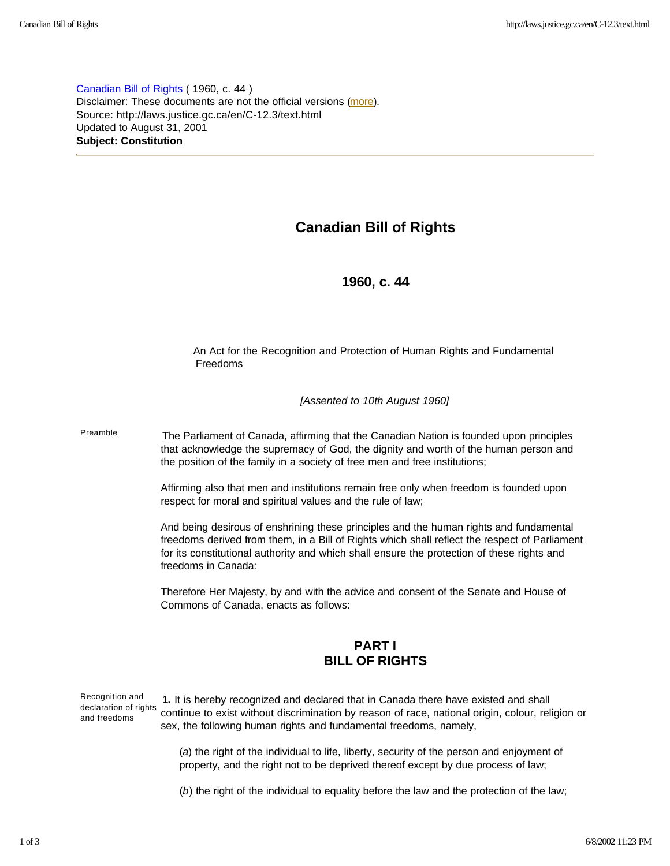Canadian Bill of Rights ( 1960, c. 44 ) Disclaimer: These documents are not the official versions (more). Source: http://laws.justice.gc.ca/en/C-12.3/text.html Updated to August 31, 2001 **Subject: Constitution**

## **Canadian Bill of Rights**

## **1960, c. 44**

An Act for the Recognition and Protection of Human Rights and Fundamental Freedoms

*[Assented to 10th August 1960]*

Preamble The Parliament of Canada, affirming that the Canadian Nation is founded upon principles that acknowledge the supremacy of God, the dignity and worth of the human person and the position of the family in a society of free men and free institutions;

> Affirming also that men and institutions remain free only when freedom is founded upon respect for moral and spiritual values and the rule of law;

And being desirous of enshrining these principles and the human rights and fundamental freedoms derived from them, in a Bill of Rights which shall reflect the respect of Parliament for its constitutional authority and which shall ensure the protection of these rights and freedoms in Canada:

Therefore Her Majesty, by and with the advice and consent of the Senate and House of Commons of Canada, enacts as follows:

## **PART I BILL OF RIGHTS**

Recognition and declaration of rights and freedoms **1.** It is hereby recognized and declared that in Canada there have existed and shall continue to exist without discrimination by reason of race, national origin, colour, religion or sex, the following human rights and fundamental freedoms, namely,

> (*a*) the right of the individual to life, liberty, security of the person and enjoyment of property, and the right not to be deprived thereof except by due process of law;

> (*b*) the right of the individual to equality before the law and the protection of the law;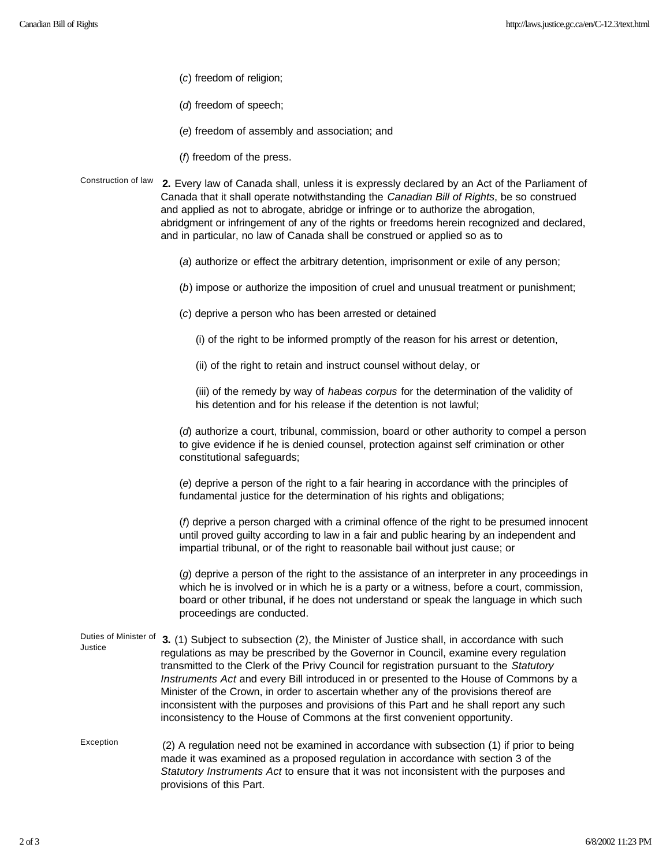- (*c*) freedom of religion;
- (*d*) freedom of speech;
- (*e*) freedom of assembly and association; and
- (*f*) freedom of the press.
- Construction of law **2.** Every law of Canada shall, unless it is expressly declared by an Act of the Parliament of Canada that it shall operate notwithstanding the *Canadian Bill of Rights*, be so construed and applied as not to abrogate, abridge or infringe or to authorize the abrogation, abridgment or infringement of any of the rights or freedoms herein recognized and declared, and in particular, no law of Canada shall be construed or applied so as to
	- (*a*) authorize or effect the arbitrary detention, imprisonment or exile of any person;
	- (b) impose or authorize the imposition of cruel and unusual treatment or punishment;
	- (*c*) deprive a person who has been arrested or detained
		- (i) of the right to be informed promptly of the reason for his arrest or detention,
		- (ii) of the right to retain and instruct counsel without delay, or

(iii) of the remedy by way of *habeas corpus* for the determination of the validity of his detention and for his release if the detention is not lawful;

(*d*) authorize a court, tribunal, commission, board or other authority to compel a person to give evidence if he is denied counsel, protection against self crimination or other constitutional safeguards;

(*e*) deprive a person of the right to a fair hearing in accordance with the principles of fundamental justice for the determination of his rights and obligations;

(*f*) deprive a person charged with a criminal offence of the right to be presumed innocent until proved guilty according to law in a fair and public hearing by an independent and impartial tribunal, or of the right to reasonable bail without just cause; or

(*g*) deprive a person of the right to the assistance of an interpreter in any proceedings in which he is involved or in which he is a party or a witness, before a court, commission, board or other tribunal, if he does not understand or speak the language in which such proceedings are conducted.

Duties of Minister of **Justice 3.** (1) Subject to subsection (2), the Minister of Justice shall, in accordance with such regulations as may be prescribed by the Governor in Council, examine every regulation transmitted to the Clerk of the Privy Council for registration pursuant to the *Statutory Instruments Act* and every Bill introduced in or presented to the House of Commons by a Minister of the Crown, in order to ascertain whether any of the provisions thereof are inconsistent with the purposes and provisions of this Part and he shall report any such inconsistency to the House of Commons at the first convenient opportunity.

Exception (2) A regulation need not be examined in accordance with subsection (1) if prior to being made it was examined as a proposed regulation in accordance with section 3 of the *Statutory Instruments Act* to ensure that it was not inconsistent with the purposes and provisions of this Part.